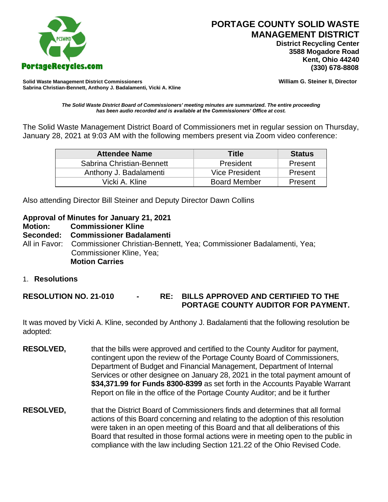

 **District Recycling Center 3588 Mogadore Road Kent, Ohio 44240**

**Solid Waste Management District Commissioners William G. Steiner II, Director Sabrina Christian-Bennett, Anthony J. Badalamenti, Vicki A. Kline**

*The Solid Waste District Board of Commissioners' meeting minutes are summarized. The entire proceeding has been audio recorded and is available at the Commissioners' Office at cost.*

The Solid Waste Management District Board of Commissioners met in regular session on Thursday, January 28, 2021 at 9:03 AM with the following members present via Zoom video conference:

| <b>Attendee Name</b>      | <b>Title</b>        | <b>Status</b> |
|---------------------------|---------------------|---------------|
| Sabrina Christian-Bennett | President           | Present       |
| Anthony J. Badalamenti    | Vice President      | Present       |
| Vicki A. Kline            | <b>Board Member</b> | Present       |

Also attending Director Bill Steiner and Deputy Director Dawn Collins

#### **Approval of Minutes for January 21, 2021**

**Motion: Commissioner Kline** 

**Seconded: Commissioner Badalamenti**

All in Favor: Commissioner Christian-Bennett, Yea; Commissioner Badalamenti, Yea; Commissioner Kline, Yea; **Motion Carries**

1. **Resolutions**

**RESOLUTION NO. 21-010 - RE: BILLS APPROVED AND CERTIFIED TO THE PORTAGE COUNTY AUDITOR FOR PAYMENT.** 

It was moved by Vicki A. Kline, seconded by Anthony J. Badalamenti that the following resolution be adopted:

- **RESOLVED,** that the bills were approved and certified to the County Auditor for payment, contingent upon the review of the Portage County Board of Commissioners, Department of Budget and Financial Management, Department of Internal Services or other designee on January 28, 2021 in the total payment amount of **\$34,371.99 for Funds 8300-8399** as set forth in the Accounts Payable Warrant Report on file in the office of the Portage County Auditor; and be it further
- **RESOLVED,** that the District Board of Commissioners finds and determines that all formal actions of this Board concerning and relating to the adoption of this resolution were taken in an open meeting of this Board and that all deliberations of this Board that resulted in those formal actions were in meeting open to the public in compliance with the law including Section 121.22 of the Ohio Revised Code.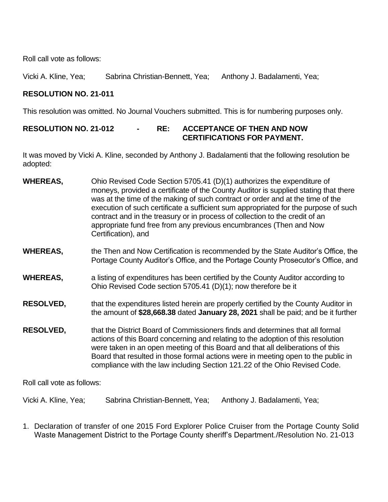Roll call vote as follows:

Vicki A. Kline, Yea; Sabrina Christian-Bennett, Yea; Anthony J. Badalamenti, Yea;

# **RESOLUTION NO. 21-011**

This resolution was omitted. No Journal Vouchers submitted. This is for numbering purposes only.

## **RESOLUTION NO. 21-012 - RE: ACCEPTANCE OF THEN AND NOW CERTIFICATIONS FOR PAYMENT.**

It was moved by Vicki A. Kline, seconded by Anthony J. Badalamenti that the following resolution be adopted:

- **WHEREAS,** Ohio Revised Code Section 5705.41 (D)(1) authorizes the expenditure of moneys, provided a certificate of the County Auditor is supplied stating that there was at the time of the making of such contract or order and at the time of the execution of such certificate a sufficient sum appropriated for the purpose of such contract and in the treasury or in process of collection to the credit of an appropriate fund free from any previous encumbrances (Then and Now Certification), and
- **WHEREAS,** the Then and Now Certification is recommended by the State Auditor's Office, the Portage County Auditor's Office, and the Portage County Prosecutor's Office, and
- **WHEREAS,** a listing of expenditures has been certified by the County Auditor according to Ohio Revised Code section 5705.41 (D)(1); now therefore be it
- **RESOLVED,** that the expenditures listed herein are properly certified by the County Auditor in the amount of **\$28,668.38** dated **January 28, 2021** shall be paid; and be it further
- **RESOLVED,** that the District Board of Commissioners finds and determines that all formal actions of this Board concerning and relating to the adoption of this resolution were taken in an open meeting of this Board and that all deliberations of this Board that resulted in those formal actions were in meeting open to the public in compliance with the law including Section 121.22 of the Ohio Revised Code.

Roll call vote as follows:

Vicki A. Kline, Yea; Sabrina Christian-Bennett, Yea; Anthony J. Badalamenti, Yea;

1. Declaration of transfer of one 2015 Ford Explorer Police Cruiser from the Portage County Solid Waste Management District to the Portage County sheriff's Department./Resolution No. 21-013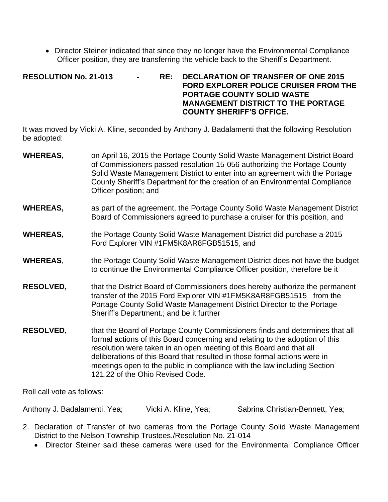• Director Steiner indicated that since they no longer have the Environmental Compliance Officer position, they are transferring the vehicle back to the Sheriff's Department.

#### **RESOLUTION No. 21-013 - RE: DECLARATION OF TRANSFER OF ONE 2015 FORD EXPLORER POLICE CRUISER FROM THE PORTAGE COUNTY SOLID WASTE MANAGEMENT DISTRICT TO THE PORTAGE COUNTY SHERIFF'S OFFICE.**

It was moved by Vicki A. Kline, seconded by Anthony J. Badalamenti that the following Resolution be adopted:

- **WHEREAS,** on April 16, 2015 the Portage County Solid Waste Management District Board of Commissioners passed resolution 15-056 authorizing the Portage County Solid Waste Management District to enter into an agreement with the Portage County Sheriff's Department for the creation of an Environmental Compliance Officer position; and
- **WHEREAS,** as part of the agreement, the Portage County Solid Waste Management District Board of Commissioners agreed to purchase a cruiser for this position, and
- **WHEREAS,** the Portage County Solid Waste Management District did purchase a 2015 Ford Explorer VIN #1FM5K8AR8FGB51515, and
- **WHEREAS**, the Portage County Solid Waste Management District does not have the budget to continue the Environmental Compliance Officer position, therefore be it
- **RESOLVED,** that the District Board of Commissioners does hereby authorize the permanent transfer of the 2015 Ford Explorer VIN #1FM5K8AR8FGB51515 from the Portage County Solid Waste Management District Director to the Portage Sheriff's Department.; and be it further
- **RESOLVED,** that the Board of Portage County Commissioners finds and determines that all formal actions of this Board concerning and relating to the adoption of this resolution were taken in an open meeting of this Board and that all deliberations of this Board that resulted in those formal actions were in meetings open to the public in compliance with the law including Section 121.22 of the Ohio Revised Code.

Roll call vote as follows:

Anthony J. Badalamenti, Yea; Vicki A. Kline, Yea; Sabrina Christian-Bennett, Yea;

- 2. Declaration of Transfer of two cameras from the Portage County Solid Waste Management District to the Nelson Township Trustees./Resolution No. 21-014
	- Director Steiner said these cameras were used for the Environmental Compliance Officer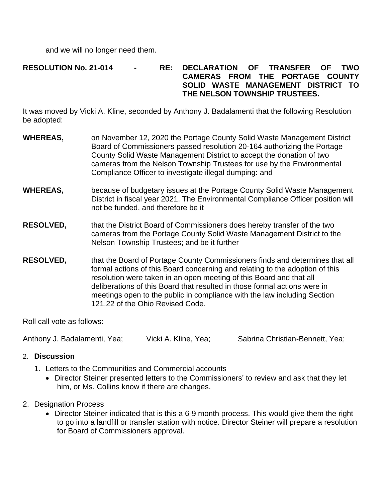and we will no longer need them.

## **RESOLUTION No. 21-014 - RE: DECLARATION OF TRANSFER OF TWO CAMERAS FROM THE PORTAGE COUNTY SOLID WASTE MANAGEMENT DISTRICT TO THE NELSON TOWNSHIP TRUSTEES.**

It was moved by Vicki A. Kline, seconded by Anthony J. Badalamenti that the following Resolution be adopted:

- **WHEREAS,** on November 12, 2020 the Portage County Solid Waste Management District Board of Commissioners passed resolution 20-164 authorizing the Portage County Solid Waste Management District to accept the donation of two cameras from the Nelson Township Trustees for use by the Environmental Compliance Officer to investigate illegal dumping: and
- **WHEREAS,** because of budgetary issues at the Portage County Solid Waste Management District in fiscal year 2021. The Environmental Compliance Officer position will not be funded, and therefore be it
- **RESOLVED,** that the District Board of Commissioners does hereby transfer of the two cameras from the Portage County Solid Waste Management District to the Nelson Township Trustees; and be it further
- **RESOLVED,** that the Board of Portage County Commissioners finds and determines that all formal actions of this Board concerning and relating to the adoption of this resolution were taken in an open meeting of this Board and that all deliberations of this Board that resulted in those formal actions were in meetings open to the public in compliance with the law including Section 121.22 of the Ohio Revised Code.

Roll call vote as follows:

Anthony J. Badalamenti, Yea; Vicki A. Kline, Yea; Sabrina Christian-Bennett, Yea;

## 2. **Discussion**

- 1. Letters to the Communities and Commercial accounts
	- Director Steiner presented letters to the Commissioners' to review and ask that they let him, or Ms. Collins know if there are changes.
- 2. Designation Process
	- Director Steiner indicated that is this a 6-9 month process. This would give them the right to go into a landfill or transfer station with notice. Director Steiner will prepare a resolution for Board of Commissioners approval.